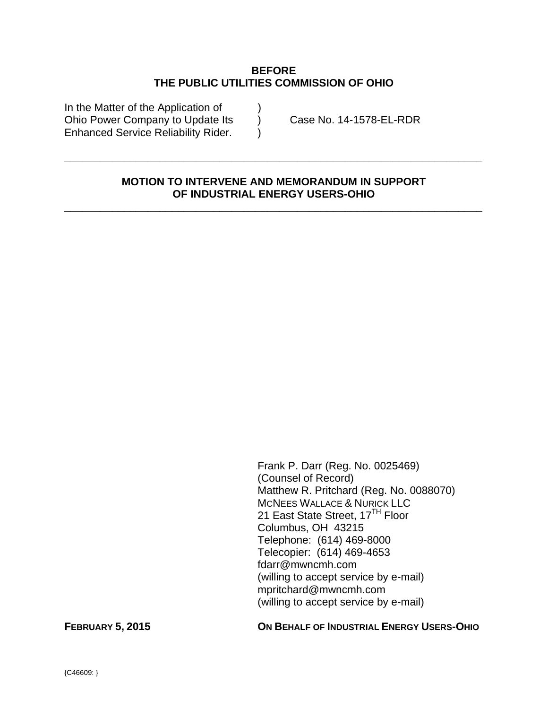#### **BEFORE THE PUBLIC UTILITIES COMMISSION OF OHIO**

In the Matter of the Application of ) Ohio Power Company to Update Its (a) Case No. 14-1578-EL-RDR Enhanced Service Reliability Rider.

### **MOTION TO INTERVENE AND MEMORANDUM IN SUPPORT OF INDUSTRIAL ENERGY USERS-OHIO**

**\_\_\_\_\_\_\_\_\_\_\_\_\_\_\_\_\_\_\_\_\_\_\_\_\_\_\_\_\_\_\_\_\_\_\_\_\_\_\_\_\_\_\_\_\_\_\_\_\_\_\_\_\_\_\_\_\_\_\_\_\_\_\_\_\_\_\_\_\_\_** 

**\_\_\_\_\_\_\_\_\_\_\_\_\_\_\_\_\_\_\_\_\_\_\_\_\_\_\_\_\_\_\_\_\_\_\_\_\_\_\_\_\_\_\_\_\_\_\_\_\_\_\_\_\_\_\_\_\_\_\_\_\_\_\_\_\_\_\_\_\_\_** 

Frank P. Darr (Reg. No. 0025469) (Counsel of Record) Matthew R. Pritchard (Reg. No. 0088070) MCNEES WALLACE & NURICK LLC 21 East State Street, 17<sup>TH</sup> Floor Columbus, OH 43215 Telephone: (614) 469-8000 Telecopier: (614) 469-4653 fdarr@mwncmh.com (willing to accept service by e-mail) mpritchard@mwncmh.com (willing to accept service by e-mail)

**FEBRUARY 5, 2015 ON BEHALF OF INDUSTRIAL ENERGY USERS-OHIO**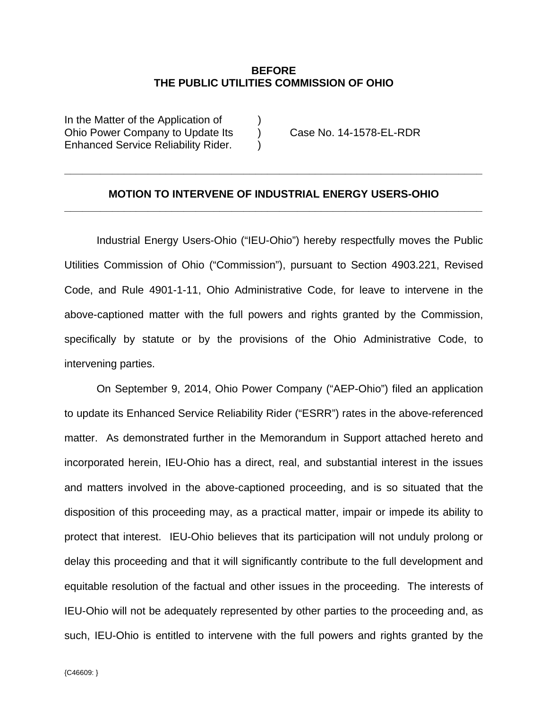#### **BEFORE THE PUBLIC UTILITIES COMMISSION OF OHIO**

In the Matter of the Application of  $\qquad)$ Ohio Power Company to Update Its (a) Case No. 14-1578-EL-RDR Enhanced Service Reliability Rider. )

### **MOTION TO INTERVENE OF INDUSTRIAL ENERGY USERS-OHIO \_\_\_\_\_\_\_\_\_\_\_\_\_\_\_\_\_\_\_\_\_\_\_\_\_\_\_\_\_\_\_\_\_\_\_\_\_\_\_\_\_\_\_\_\_\_\_\_\_\_\_\_\_\_\_\_\_\_\_\_\_\_\_\_\_\_\_\_\_\_**

**\_\_\_\_\_\_\_\_\_\_\_\_\_\_\_\_\_\_\_\_\_\_\_\_\_\_\_\_\_\_\_\_\_\_\_\_\_\_\_\_\_\_\_\_\_\_\_\_\_\_\_\_\_\_\_\_\_\_\_\_\_\_\_\_\_\_\_\_\_\_** 

Industrial Energy Users-Ohio ("IEU-Ohio") hereby respectfully moves the Public Utilities Commission of Ohio ("Commission"), pursuant to Section 4903.221, Revised Code, and Rule 4901-1-11, Ohio Administrative Code, for leave to intervene in the above-captioned matter with the full powers and rights granted by the Commission, specifically by statute or by the provisions of the Ohio Administrative Code, to intervening parties.

On September 9, 2014, Ohio Power Company ("AEP-Ohio") filed an application to update its Enhanced Service Reliability Rider ("ESRR") rates in the above-referenced matter. As demonstrated further in the Memorandum in Support attached hereto and incorporated herein, IEU-Ohio has a direct, real, and substantial interest in the issues and matters involved in the above-captioned proceeding, and is so situated that the disposition of this proceeding may, as a practical matter, impair or impede its ability to protect that interest. IEU-Ohio believes that its participation will not unduly prolong or delay this proceeding and that it will significantly contribute to the full development and equitable resolution of the factual and other issues in the proceeding. The interests of IEU-Ohio will not be adequately represented by other parties to the proceeding and, as such, IEU-Ohio is entitled to intervene with the full powers and rights granted by the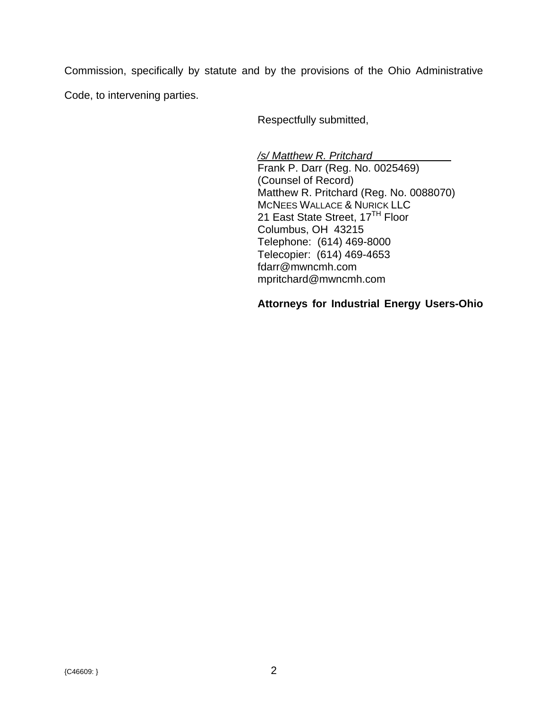Commission, specifically by statute and by the provisions of the Ohio Administrative Code, to intervening parties.

Respectfully submitted,

*/s/ Matthew R. Pritchard* 

Frank P. Darr (Reg. No. 0025469) (Counsel of Record) Matthew R. Pritchard (Reg. No. 0088070) MCNEES WALLACE & NURICK LLC 21 East State Street, 17<sup>TH</sup> Floor Columbus, OH 43215 Telephone: (614) 469-8000 Telecopier: (614) 469-4653 fdarr@mwncmh.com mpritchard@mwncmh.com

## **Attorneys for Industrial Energy Users-Ohio**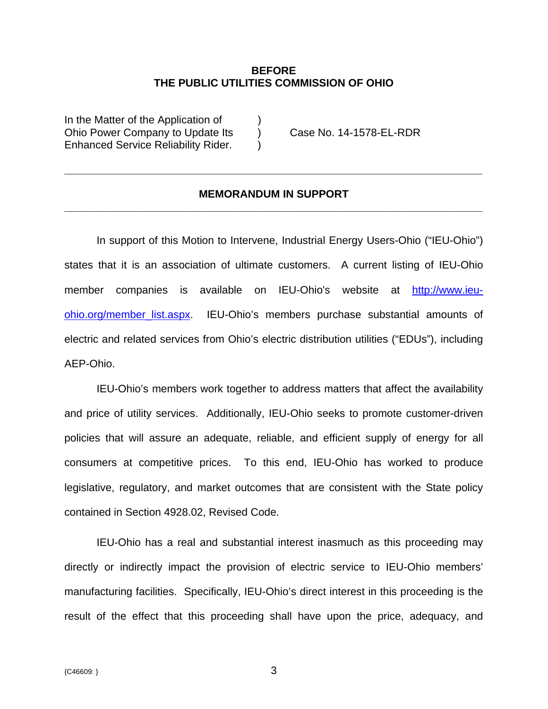#### **BEFORE THE PUBLIC UTILITIES COMMISSION OF OHIO**

In the Matter of the Application of  $\qquad)$ Ohio Power Company to Update Its (a) Case No. 14-1578-EL-RDR Enhanced Service Reliability Rider.

#### **MEMORANDUM IN SUPPORT \_\_\_\_\_\_\_\_\_\_\_\_\_\_\_\_\_\_\_\_\_\_\_\_\_\_\_\_\_\_\_\_\_\_\_\_\_\_\_\_\_\_\_\_\_\_\_\_\_\_\_\_\_\_\_\_\_\_\_\_\_\_\_\_\_\_\_\_\_\_**

**\_\_\_\_\_\_\_\_\_\_\_\_\_\_\_\_\_\_\_\_\_\_\_\_\_\_\_\_\_\_\_\_\_\_\_\_\_\_\_\_\_\_\_\_\_\_\_\_\_\_\_\_\_\_\_\_\_\_\_\_\_\_\_\_\_\_\_\_\_\_** 

In support of this Motion to Intervene, Industrial Energy Users-Ohio ("IEU-Ohio") states that it is an association of ultimate customers. A current listing of IEU-Ohio member companies is available on IEU-Ohio's website at http://www.ieuohio.org/member\_list.aspx. IEU-Ohio's members purchase substantial amounts of electric and related services from Ohio's electric distribution utilities ("EDUs"), including AEP-Ohio.

 IEU-Ohio's members work together to address matters that affect the availability and price of utility services. Additionally, IEU-Ohio seeks to promote customer-driven policies that will assure an adequate, reliable, and efficient supply of energy for all consumers at competitive prices. To this end, IEU-Ohio has worked to produce legislative, regulatory, and market outcomes that are consistent with the State policy contained in Section 4928.02, Revised Code.

IEU-Ohio has a real and substantial interest inasmuch as this proceeding may directly or indirectly impact the provision of electric service to IEU-Ohio members' manufacturing facilities. Specifically, IEU-Ohio's direct interest in this proceeding is the result of the effect that this proceeding shall have upon the price, adequacy, and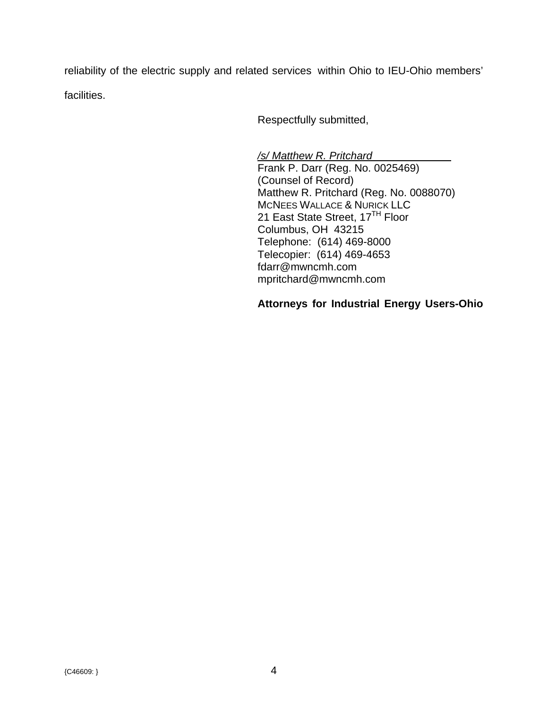reliability of the electric supply and related services within Ohio to IEU-Ohio members' facilities.

Respectfully submitted,

*/s/ Matthew R. Pritchard* 

Frank P. Darr (Reg. No. 0025469) (Counsel of Record) Matthew R. Pritchard (Reg. No. 0088070) MCNEES WALLACE & NURICK LLC 21 East State Street, 17<sup>TH</sup> Floor Columbus, OH 43215 Telephone: (614) 469-8000 Telecopier: (614) 469-4653 fdarr@mwncmh.com mpritchard@mwncmh.com

## **Attorneys for Industrial Energy Users-Ohio**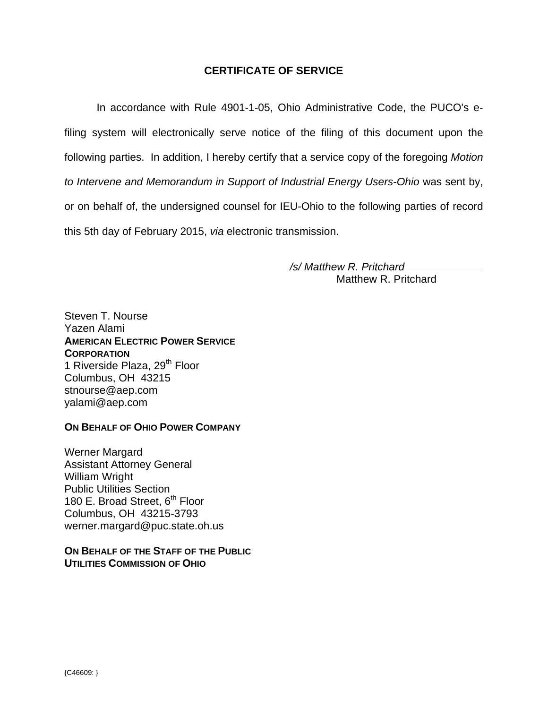## **CERTIFICATE OF SERVICE**

In accordance with Rule 4901-1-05, Ohio Administrative Code, the PUCO's efiling system will electronically serve notice of the filing of this document upon the following parties. In addition, I hereby certify that a service copy of the foregoing *Motion to Intervene and Memorandum in Support of Industrial Energy Users-Ohio* was sent by, or on behalf of, the undersigned counsel for IEU-Ohio to the following parties of record this 5th day of February 2015, *via* electronic transmission.

> */s/ Matthew R. Pritchard*  Matthew R. Pritchard

Steven T. Nourse Yazen Alami **AMERICAN ELECTRIC POWER SERVICE CORPORATION** 1 Riverside Plaza, 29<sup>th</sup> Floor Columbus, OH 43215 stnourse@aep.com yalami@aep.com

#### **ON BEHALF OF OHIO POWER COMPANY**

Werner Margard Assistant Attorney General William Wright Public Utilities Section 180 E. Broad Street,  $6<sup>th</sup>$  Floor Columbus, OH 43215-3793 werner.margard@puc.state.oh.us

#### **ON BEHALF OF THE STAFF OF THE PUBLIC UTILITIES COMMISSION OF OHIO**